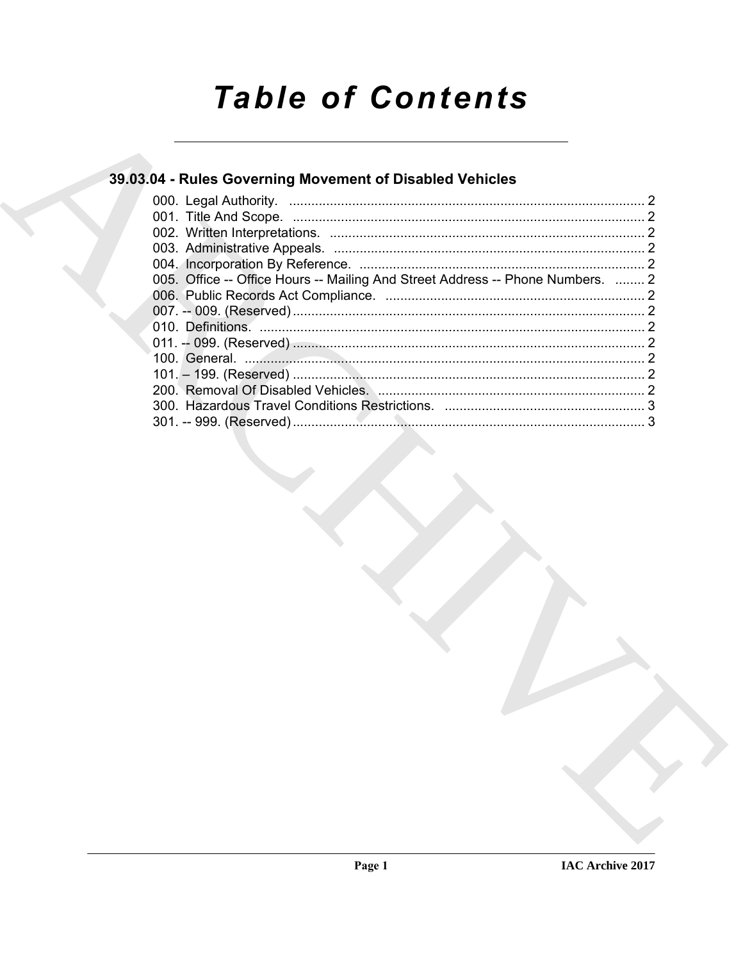# **Table of Contents**

# 39.03.04 - Rules Governing Movement of Disabled Vehicles

| 005. Office -- Office Hours -- Mailing And Street Address -- Phone Numbers.  2 |  |
|--------------------------------------------------------------------------------|--|
|                                                                                |  |
|                                                                                |  |
|                                                                                |  |
|                                                                                |  |
|                                                                                |  |
|                                                                                |  |
|                                                                                |  |
|                                                                                |  |
|                                                                                |  |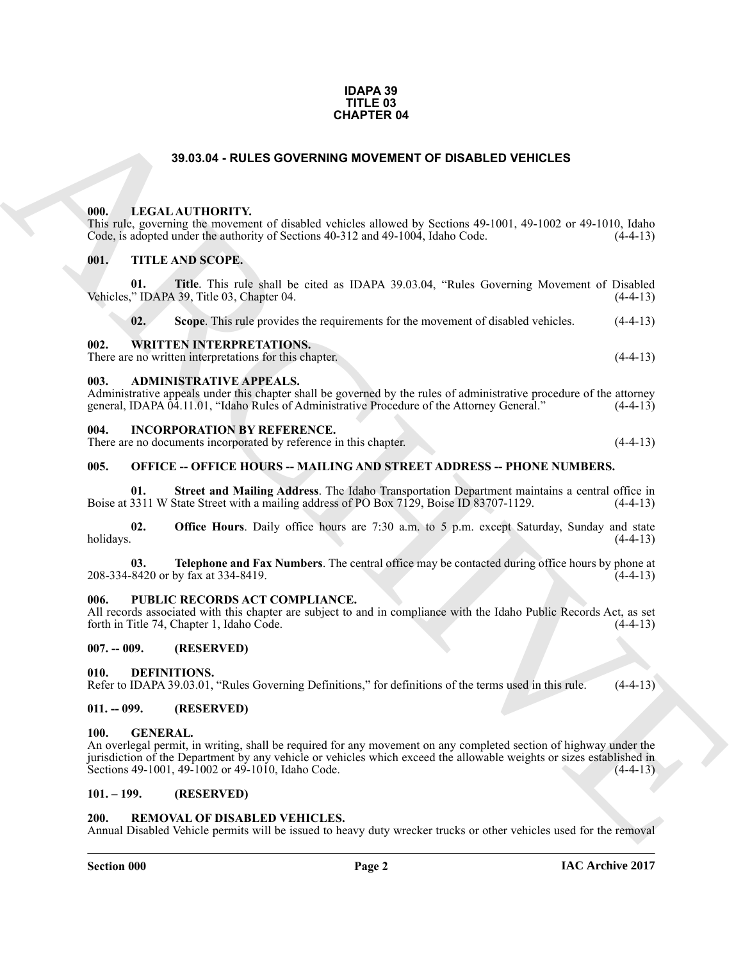#### **IDAPA 39 TITLE 03 CHAPTER 04**

#### **39.03.04 - RULES GOVERNING MOVEMENT OF DISABLED VEHICLES**

#### <span id="page-1-1"></span><span id="page-1-0"></span>**000. LEGAL AUTHORITY.**

#### <span id="page-1-3"></span><span id="page-1-2"></span>**001. TITLE AND SCOPE.**

| <b>CHAPTER 04</b> |                                |                                                                                                                                                                                                                                                                                                |            |  |
|-------------------|--------------------------------|------------------------------------------------------------------------------------------------------------------------------------------------------------------------------------------------------------------------------------------------------------------------------------------------|------------|--|
|                   |                                | 39.03.04 - RULES GOVERNING MOVEMENT OF DISABLED VEHICLES                                                                                                                                                                                                                                       |            |  |
|                   | 000.                           | LEGAL AUTHORITY.<br>This rule, governing the movement of disabled vehicles allowed by Sections 49-1001, 49-1002 or 49-1010, Idaho<br>Code, is adopted under the authority of Sections 40-312 and 49-1004, Idaho Code.                                                                          | $(4-4-13)$ |  |
|                   | 001.<br>01.                    | TITLE AND SCOPE.<br>Title. This rule shall be cited as IDAPA 39.03.04, "Rules Governing Movement of Disabled<br>Vehicles," IDAPA 39, Title 03, Chapter 04.                                                                                                                                     | $(4-4-13)$ |  |
|                   | 02.                            | Scope. This rule provides the requirements for the movement of disabled vehicles.                                                                                                                                                                                                              | $(4-4-13)$ |  |
|                   | 002.                           | <b>WRITTEN INTERPRETATIONS.</b><br>There are no written interpretations for this chapter.                                                                                                                                                                                                      | $(4-4-13)$ |  |
|                   | 003.                           | <b>ADMINISTRATIVE APPEALS.</b><br>Administrative appeals under this chapter shall be governed by the rules of administrative procedure of the attorney<br>general, IDAPA 04.11.01, "Idaho Rules of Administrative Procedure of the Attorney General."                                          | $(4-4-13)$ |  |
|                   | 004.                           | <b>INCORPORATION BY REFERENCE.</b><br>There are no documents incorporated by reference in this chapter.                                                                                                                                                                                        | $(4-4-13)$ |  |
|                   | 005.                           | <b>OFFICE -- OFFICE HOURS -- MAILING AND STREET ADDRESS -- PHONE NUMBERS.</b>                                                                                                                                                                                                                  |            |  |
|                   | 01.                            | Street and Mailing Address. The Idaho Transportation Department maintains a central office in<br>Boise at 3311 W State Street with a mailing address of PO Box 7129, Boise ID 83707-1129.                                                                                                      | $(4-4-13)$ |  |
|                   | 02.<br>holidays.               | <b>Office Hours</b> . Daily office hours are 7:30 a.m. to 5 p.m. except Saturday, Sunday and state                                                                                                                                                                                             | $(4-4-13)$ |  |
|                   | 03.                            | Telephone and Fax Numbers. The central office may be contacted during office hours by phone at<br>208-334-8420 or by fax at 334-8419.                                                                                                                                                          | $(4-4-13)$ |  |
|                   | 006.                           | PUBLIC RECORDS ACT COMPLIANCE.<br>All records associated with this chapter are subject to and in compliance with the Idaho Public Records Act, as set<br>forth in Title 74, Chapter 1, Idaho Code.                                                                                             | $(4-4-13)$ |  |
|                   | $007. - 009.$                  | (RESERVED)                                                                                                                                                                                                                                                                                     |            |  |
|                   | 010.                           | DEFINITIONS.<br>Refer to IDAPA 39.03.01, "Rules Governing Definitions," for definitions of the terms used in this rule.                                                                                                                                                                        | $(4-4-13)$ |  |
|                   | $011. - 099.$                  | (RESERVED)                                                                                                                                                                                                                                                                                     |            |  |
|                   | <b>GENERAL.</b><br><b>100.</b> | An overlegal permit, in writing, shall be required for any movement on any completed section of highway under the<br>jurisdiction of the Department by any vehicle or vehicles which exceed the allowable weights or sizes established in<br>Sections 49-1001, 49-1002 or 49-1010, Idaho Code. | $(4-4-13)$ |  |
|                   | $101. - 199.$                  | (RESERVED)                                                                                                                                                                                                                                                                                     |            |  |
|                   | 200.                           | REMOVAL OF DISABLED VEHICLES.<br>Annual Disabled Vehicle permits will be issued to heavy duty wrecker trucks or other vehicles used for the removal                                                                                                                                            |            |  |
|                   |                                |                                                                                                                                                                                                                                                                                                |            |  |

#### <span id="page-1-5"></span><span id="page-1-4"></span>**004. INCORPORATION BY REFERENCE.**

#### <span id="page-1-6"></span>**005. OFFICE -- OFFICE HOURS -- MAILING AND STREET ADDRESS -- PHONE NUMBERS.**

#### <span id="page-1-7"></span>**006. PUBLIC RECORDS ACT COMPLIANCE.**

#### <span id="page-1-8"></span>**007. -- 009. (RESERVED)**

#### <span id="page-1-14"></span><span id="page-1-9"></span>**010. DEFINITIONS.**

#### <span id="page-1-10"></span>**011. -- 099. (RESERVED)**

#### <span id="page-1-15"></span><span id="page-1-11"></span>**100. GENERAL.**

#### <span id="page-1-16"></span><span id="page-1-12"></span>**101. – 199. (RESERVED)**

#### <span id="page-1-13"></span>**200. REMOVAL OF DISABLED VEHICLES.**

#### **Section 000 Page 2**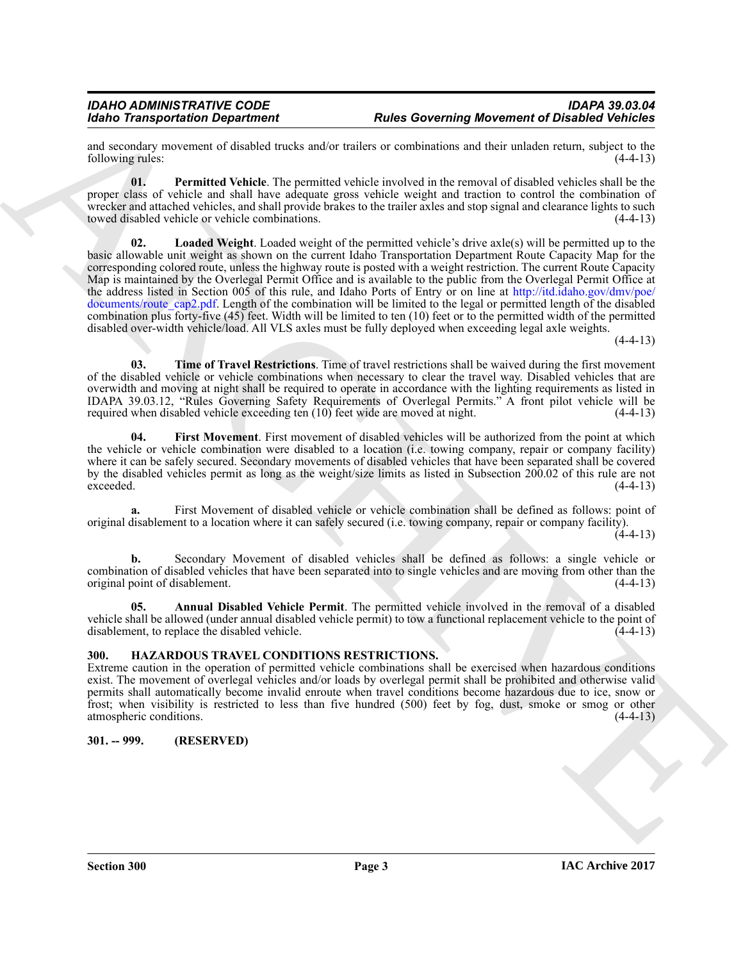and secondary movement of disabled trucks and/or trailers or combinations and their unladen return, subject to the following rules: (4-4-13) following rules:

<span id="page-2-6"></span><span id="page-2-5"></span>**01. Permitted Vehicle**. The permitted vehicle involved in the removal of disabled vehicles shall be the proper class of vehicle and shall have adequate gross vehicle weight and traction to control the combination of wrecker and attached vehicles, and shall provide brakes to the trailer axles and stop signal and clearance lights to such towed disabled vehicle or vehicle combinations. (4-4-13) towed disabled vehicle or vehicle combinations.

For Transportation Department Route and Katalog convenient and Distribution in the same of Distribution of the Color Control in the same of Distribution of the Color Color Color Color Color Color Color Color Color Color C **02. Loaded Weight**. Loaded weight of the permitted vehicle's drive axle(s) will be permitted up to the basic allowable unit weight as shown on the current Idaho Transportation Department Route Capacity Map for the corresponding colored route, unless the highway route is posted with a weight restriction. The current Route Capacity Map is maintained by the Overlegal Permit Office and is available to the public from the Overlegal Permit Office at the address listed in Section 005 of this rule, and Idaho Ports of Entry or on line at http://itd.idaho.gov/dmv/poe/ documents/route cap2.pdf. Length of the combination will be limited to the legal or permitted length of the disabled combination plus forty-five (45) feet. Width will be limited to ten (10) feet or to the permitted width of the permitted disabled over-width vehicle/load. All VLS axles must be fully deployed when exceeding legal axle weights.

 $(4-4-13)$ 

<span id="page-2-7"></span>**03. Time of Travel Restrictions**. Time of travel restrictions shall be waived during the first movement of the disabled vehicle or vehicle combinations when necessary to clear the travel way. Disabled vehicles that are overwidth and moving at night shall be required to operate in accordance with the lighting requirements as listed in IDAPA 39.03.12, "Rules Governing Safety Requirements of Overlegal Permits." A front pilot vehicle will be required when disabled vehicle exceeding ten  $(10)$  feet wide are moved at night.

<span id="page-2-4"></span>**04. First Movement**. First movement of disabled vehicles will be authorized from the point at which the vehicle or vehicle combination were disabled to a location (i.e. towing company, repair or company facility) where it can be safely secured. Secondary movements of disabled vehicles that have been separated shall be covered by the disabled vehicles permit as long as the weight/size limits as listed in Subsection 200.02 of this rule are not exceeded. (4-4-13)

**a.** First Movement of disabled vehicle or vehicle combination shall be defined as follows: point of original disablement to a location where it can safely secured (i.e. towing company, repair or company facility).

 $(4-4-13)$ 

**b.** Secondary Movement of disabled vehicles shall be defined as follows: a single vehicle or combination of disabled vehicles that have been separated into to single vehicles and are moving from other than the original point of disablement. (4-4-13)

<span id="page-2-3"></span>**05. Annual Disabled Vehicle Permit**. The permitted vehicle involved in the removal of a disabled vehicle shall be allowed (under annual disabled vehicle permit) to tow a functional replacement vehicle to the point of disablement, to replace the disabled vehicle. disablement, to replace the disabled vehicle.

#### <span id="page-2-2"></span><span id="page-2-0"></span>**300. HAZARDOUS TRAVEL CONDITIONS RESTRICTIONS.**

Extreme caution in the operation of permitted vehicle combinations shall be exercised when hazardous conditions exist. The movement of overlegal vehicles and/or loads by overlegal permit shall be prohibited and otherwise valid permits shall automatically become invalid enroute when travel conditions become hazardous due to ice, snow or frost; when visibility is restricted to less than five hundred (500) feet by fog, dust, smoke or smog or other atmospheric conditions. (4-4-13)

### <span id="page-2-1"></span>**301. -- 999. (RESERVED)**